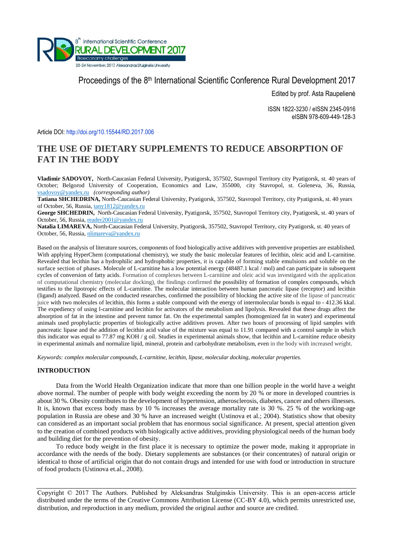

# Proceedings of the 8<sup>th</sup> International Scientific Conference Rural Development 2017

Edited by prof. Asta Raupelienė

ISSN 1822-3230 / eISSN 2345-0916 eISBN 978-609-449-128-3

Article DOI: <http://doi.org/10.15544/RD.2017.006>

# **THE USE OF DIETARY SUPPLEMENTS TO REDUCE ABSORPTION OF FAT IN THE BODY**

**Vladimir SADOVOY,** North-Caucasian Federal University, Pyatigorsk, 357502, Stavropol Territory city Pyatigorsk, st. 40 years of October; Belgorod University of Cooperation, Economics and Law, 355000, city Stavropol, st. Goleneva, 36, Russia, [vsadovoy@yandex.ru](mailto:vsadovoy@yandex.ru) *(corresponding author)*

**Tatiana SHCHEDRINA,** North-Caucasian Federal University, Pyatigorsk, 357502, Stavropol Territory, city Pyatigorsk, st. 40 years of October, 56, Russia, [tany1812@yandex.ru](mailto:tany1812@yandex.ru)

**George SHCHEDRIN,** North-Caucasian Federal University, Pyatigorsk, 357502, Stavropol Territory city, Pyatigorsk, st. 40 years of October, 56, Russia, [reader2001@yandex.ru](mailto:reader2001@yandex.ru)

**Natalia LIMAREVA,** North-Caucasian Federal University, Pyatigorsk, 357502, Stavropol Territory, city Pyatigorsk, st. 40 years of October, 56, Russia, [nlimareva@yandex.ru](mailto:nlimareva@yandex.ru)

Based on the analysis of literature sources, components of food biologically active additives with preventive properties are established. With applying HyperChem (computational chemistry), we study the basic molecular features of lecithin, oleic acid and L-carnitine. Revealed that lecithin has a hydrophilic and hydrophobic properties, it is capable of forming stable emulsions and soluble on the surface section of phases. Molecule of L-carnitine has a low potential energy (48487.1 kcal / mol) and can participate in subsequent cycles of conversion of fatty acids. Formation of complexes between L-carnitine and oleic acid was investigated with the application of computational chemistry (molecular docking), the findings confirmed the possibility of formation of complex compounds, which testifies to the lipotropic effects of L-carnitine. The molecular interaction between human pancreatic lipase (receptor) and lecithin (ligand) analyzed. Based on the conducted researches, confirmed the possibility of blocking the active site of the lipase of pancreatic juice with two molecules of lecithin, this forms a stable compound with the energy of intermolecular bonds is equal to - 412.36 kkal. The expediency of using l-carnitine and lecithin for activators of the metabolism and lipolysis. Revealed that these drugs affect the absorption of fat in the intestine and prevent tumor fat. On the experimental samples (homogenized fat in water) and experimental animals used prophylactic properties of biologically active additives proven. After two hours of processing of lipid samples with pancreatic lipase and the addition of lecithin acid value of the mixture was equal to 11.91 compared with a control sample in which this indicator was equal to 77.87 mg KOH / g oil. Studies in experimental animals show, that lecithin and L-carnitine reduce obesity in experimental animals and normalize lipid, mineral, protein and carbohydrate metabolism, even in the body with increased weight.

*Keywords: complex molecular compounds, L-carnitine, lecithin, lipase, molecular docking, molecular properties.*

## **INTRODUCTION**

Data from the World Health Organization indicate that more than one billion people in the world have a weight above normal. The number of people with body weight exceeding the norm by 20 % or more in developed countries is about 30 %. Obesity contributes to the development of hypertension, atherosclerosis, diabetes, cancer and others illnesses. It is, known that excess body mass by 10 % increases the average mortality rate is 30 %. 25 % of the working-age population in Russia are obese and 30 % have an increased weight (Ustinova et al.; 2004). Statistics show that obesity can considered as an important social problem that has enormous social significance. At present, special attention given to the creation of combined products with biologically active additives, providing physiological needs of the human body and building diet for the prevention of obesity.

To reduce body weight in the first place it is necessary to optimize the power mode, making it appropriate in accordance with the needs of the body. Dietary supplements are substances (or their concentrates) of natural origin or identical to those of artificial origin that do not contain drugs and intended for use with food or introduction in structure of food products (Ustinova et.al., 2008).

Copyright © 2017 The Authors. Published by Aleksandras Stulginskis University. This is an open-access article distributed under the terms of the Creative Commons Attribution License (CC-BY 4.0), which permits unrestricted use, distribution, and reproduction in any medium, provided the original author and source are credited.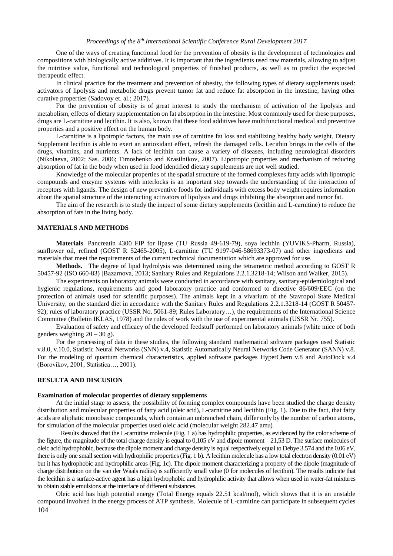One of the ways of creating functional food for the prevention of obesity is the development of technologies and compositions with biologically active additives. It is important that the ingredients used raw materials, allowing to adjust the nutritive value, functional and technological properties of finished products, as well as to predict the expected therapeutic effect.

In clinical practice for the treatment and prevention of obesity, the following types of dietary supplements used: activators of lipolysis and metabolic drugs prevent tumor fat and reduce fat absorption in the intestine, having other curative properties (Sadovoy et. al.; 2017).

For the prevention of obesity is of great interest to study the mechanism of activation of the lipolysis and metabolism, effects of dietary supplementation on fat absorption in the intestine. Most commonly used for these purposes, drugs are L-carnitine and lecithin. It is also, known that these food additives have multifunctional medical and preventive properties and a positive effect on the human body.

L-carnitine is a lipotropic factors, the main use of carnitine fat loss and stabilizing healthy body weight. Dietary Supplement lecithin is able to exert an antioxidant effect, refresh the damaged cells. Lecithin brings in the cells of the drugs, vitamins, and nutrients. A lack of lecithin can cause a variety of diseases, including neurological disorders (Nikolaeva, 2002; Sas. 2006; Timoshenko and Krasilnikov, 2007). Lipotropic properties and mechanism of reducing absorption of fat in the body when used in food identified dietary supplements are not well studied.

Knowledge of the molecular properties of the spatial structure of the formed complexes fatty acids with lipotropic compounds and enzyme systems with interlocks is an important step towards the understanding of the interaction of receptors with ligands. The design of new preventive foods for individuals with excess body weight requires information about the spatial structure of the interacting activators of lipolysis and drugs inhibiting the absorption and tumor fat.

The aim of the research is to study the impact of some dietary supplements (lecithin and L-carnitine) to reduce the absorption of fats in the living body.

#### **MATERIALS AND METHODS**

**Materials**. Pancreatin 4300 FIP for lipase (TU Russia 49-619-79), soya lecithin (YUVIKS-Pharm, Russia), sunflower oil, refined (GOST R 52465-2005), L-carnitine (TU 9197-046-58693373-07) and other ingredients and materials that meet the requirements of the current technical documentation which are approved for use.

**Methods.** The degree of lipid hydrolysis was determined using the tetrametric method according to GOST R 50457-92 (ISO 660-83) [Bazarnova, 2013; Sanitary Rules and Regulations 2.2.1.3218-14; Wilson and Walker, 2015).

The experiments on laboratory animals were conducted in accordance with sanitary, sanitary-epidemiological and hygienic regulations, requirements and good laboratory practice and conformed to directive 86/609/EEC (on the protection of animals used for scientific purposes). The animals kept in a vivarium of the Stavropol State Medical University, on the standard diet in accordance with the Sanitary Rules and Regulations 2.2.1.3218-14 (GOST R 50457- 92); rules of laboratory practice (USSR No. 5061-89; Rules Laboratory…), the requirements of the International Science Committee (Bulletin IKLAS, 1978) and the rules of work with the use of experimental animals (USSR Nr. 755).

Evaluation of safety and efficacy of the developed feedstuff performed on laboratory animals (white mice of both genders weighing  $20 - 30$  g).

For the processing of data in these studies, the following standard mathematical software packages used Statistic v.8.0, v.10.0, Statistic Neural Networks (SNN) v.4, Statistic Automatically Neural Networks Code Generator (SANN) v.8. For the modeling of quantum chemical characteristics, applied software packages HyperChem v.8 and AutoDock v.4 (Borovikov, 2001; Statistica…, 2001).

#### **RESULTA AND DISCUSION**

#### **Examination of molecular properties of dietary supplements**

At the initial stage to assess, the possibility of forming complex compounds have been studied the charge density distribution and molecular properties of fatty acid (oleic acid), L-carnitine and lecithin (Fig. 1). Due to the fact, that fatty acids are aliphatic monobasic compounds, which contain an unbranched chain, differ only by the number of carbon atoms, for simulation of the molecular properties used oleic acid (molecular weight 282.47 amu).

Results showed that the L-carnitine molecule (Fig. 1 a) has hydrophilic properties, as evidenced by the color scheme of the figure, the magnitude of the total charge density is equal to 0,105 eV and dipole moment – 21,53 D. The surface molecules of oleic acid hydrophobic, because the dipole moment and charge density is equal respectively equal to Debye 3.574 and the 0.06 eV, there is only one small section with hydrophilic properties (Fig. 1 b). A lecithin molecule has a low total electron density (0.01 eV) but it has hydrophobic and hydrophilic areas (Fig. 1c). The dipole moment characterizing a property of the dipole (magnitude of charge distribution on the van der Waals radius) is sufficiently small value (0 for molecules of lecithin). The results indicate that the lecithin is a surface-active agent has a high hydrophobic and hydrophilic activity that allows when used in water-fat mixtures to obtain stable emulsions at the interface of different substances.

104 Oleic acid has high potential energy (Total Energy equals 22.51 kcal/mol), which shows that it is an unstable compound involved in the energy process of ATP synthesis. Molecule of L-carnitine can participate in subsequent cycles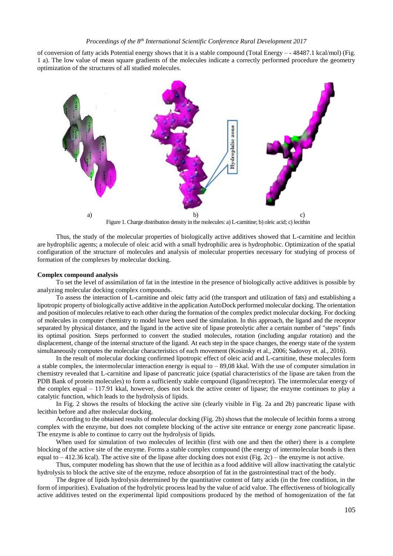of conversion of fatty acids Potential energy shows that it is a stable compound (Total Energy – - 48487.1 kcal/mol) (Fig. 1 a). The low value of mean square gradients of the molecules indicate a correctly performed procedure the geometry optimization of the structures of all studied molecules.



Figure 1. Charge distribution density in the molecules: a) L-carnitine; b) oleic acid; c) lecithin

Thus, the study of the molecular properties of biologically active additives showed that L-carnitine and lecithin are hydrophilic agents; a molecule of oleic acid with a small hydrophilic area is hydrophobic. Optimization of the spatial configuration of the structure of molecules and analysis of molecular properties necessary for studying of process of formation of the complexes by molecular docking.

#### **Complex compound analysis**

To set the level of assimilation of fat in the intestine in the presence of biologically active additives is possible by analyzing molecular docking complex compounds.

To assess the interaction of L-carnitine and oleic fatty acid (the transport and utilization of fats) and establishing a lipotropic property of biologically active additive in the application AutoDock performed molecular docking. The orientation and position of molecules relative to each other during the formation of the complex predict molecular docking. For docking of molecules in computer chemistry to model have been used the simulation. In this approach, the ligand and the receptor separated by physical distance, and the ligand in the active site of lipase proteolytic after a certain number of "steps" finds its optimal position. Steps performed to convert the studied molecules, rotation (including angular rotation) and the displacement, change of the internal structure of the ligand. At each step in the space changes, the energy state of the system simultaneously computes the molecular characteristics of each movement (Kosinsky et al., 2006; Sadovoy et. al., 2016).

In the result of molecular docking confirmed lipotropic effect of oleic acid and L-carnitine, these molecules form a stable complex, the intermolecular interaction energy is equal to  $- 89,08$  kkal. With the use of computer simulation in chemistry revealed that L-carnitine and lipase of pancreatic juice (spatial characteristics of the lipase are taken from the PDB Bank of protein molecules) to form a sufficiently stable compound (ligand/receptor). The intermolecular energy of the complex equal – 117.91 kkal, however, does not lock the active center of lipase; the enzyme continues to play a catalytic function, which leads to the hydrolysis of lipids.

In Fig. 2 shows the results of blocking the active site (clearly visible in Fig. 2a and 2b) pancreatic lipase with lecithin before and after molecular docking.

According to the obtained results of molecular docking (Fig. 2b) shows that the molecule of lecithin forms a strong complex with the enzyme, but does not complete blocking of the active site entrance or energy zone pancreatic lipase. The enzyme is able to continue to carry out the hydrolysis of lipids.

When used for simulation of two molecules of lecithin (first with one and then the other) there is a complete blocking of the active site of the enzyme. Forms a stable complex compound (the energy of intermolecular bonds is then equal to – 412.36 kcal). The active site of the lipase after docking does not exist (Fig. 2c) – the enzyme is not active.

Thus, computer modeling has shown that the use of lecithin as a food additive will allow inactivating the catalytic hydrolysis to block the active site of the enzyme, reduce absorption of fat in the gastrointestinal tract of the body.

The degree of lipids hydrolysis determined by the quantitative content of fatty acids (in the free condition, in the form of impurities). Evaluation of the hydrolytic process lead by the value of acid value. The effectiveness of biologically active additives tested on the experimental lipid compositions produced by the method of homogenization of the fat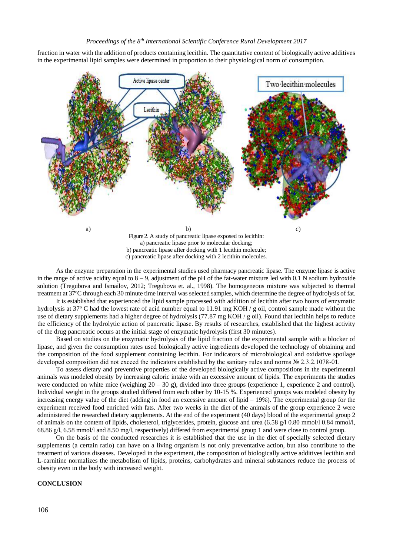fraction in water with the addition of products containing lecithin. The quantitative content of biologically active additives in the experimental lipid samples were determined in proportion to their physiological norm of consumption.



As the enzyme preparation in the experimental studies used pharmacy pancreatic lipase. The enzyme lipase is active in the range of active acidity equal to  $8 - 9$ , adjustment of the pH of the fat-water mixture led with 0.1 N sodium hydroxide solution (Tregubova and Ismailov, 2012; Tregubova et. al., 1998). The homogeneous mixture was subjected to thermal treatment at 37°C through each 30 minute time interval was selected samples, which determine the degree of hydrolysis of fat.

It is established that experienced the lipid sample processed with addition of lecithin after two hours of enzymatic hydrolysis at 37 $\degree$ C had the lowest rate of acid number equal to 11.91 mg KOH / g oil, control sample made without the use of dietary supplements had a higher degree of hydrolysis (77.87 mg KOH / g oil). Found that lecithin helps to reduce the efficiency of the hydrolytic action of pancreatic lipase. By results of researches, established that the highest activity of the drug pancreatic occurs at the initial stage of enzymatic hydrolysis (first 30 minutes).

Based on studies on the enzymatic hydrolysis of the lipid fraction of the experimental sample with a blocker of lipase, and given the consumption rates used biologically active ingredients developed the technology of obtaining and the composition of the food supplement containing lecithin. For indicators of microbiological and oxidative spoilage developed composition did not exceed the indicators established by the sanitary rules and norms № 2.3.2.1078-01.

To assess dietary and preventive properties of the developed biologically active compositions in the experimental animals was modeled obesity by increasing caloric intake with an excessive amount of lipids. The experiments the studies were conducted on white mice (weighing  $20 - 30$  g), divided into three groups (experience 1, experience 2 and control). Individual weight in the groups studied differed from each other by 10-15 %. Experienced groups was modeled obesity by increasing energy value of the diet (adding in food an excessive amount of lipid – 19%). The experimental group for the experiment received food enriched with fats. After two weeks in the diet of the animals of the group experience 2 were administered the researched dietary supplements. At the end of the experiment (40 days) blood of the experimental group 2 of animals on the content of lipids, cholesterol, triglycerides, protein, glucose and urea (6.58 g/l 0.80 mmol/l 0.84 mmol/l, 68.86 g/l, 6.58 mmol/l and 8.50 mg/l, respectively) differed from experimental group 1 and were close to control group.

On the basis of the conducted researches it is established that the use in the diet of specially selected dietary supplements (a certain ratio) can have on a living organism is not only preventative action, but also contribute to the treatment of various diseases. Developed in the experiment, the composition of biologically active additives lecithin and L-carnitine normalizes the metabolism of lipids, proteins, carbohydrates and mineral substances reduce the process of obesity even in the body with increased weight.

## **CONCLUSION**